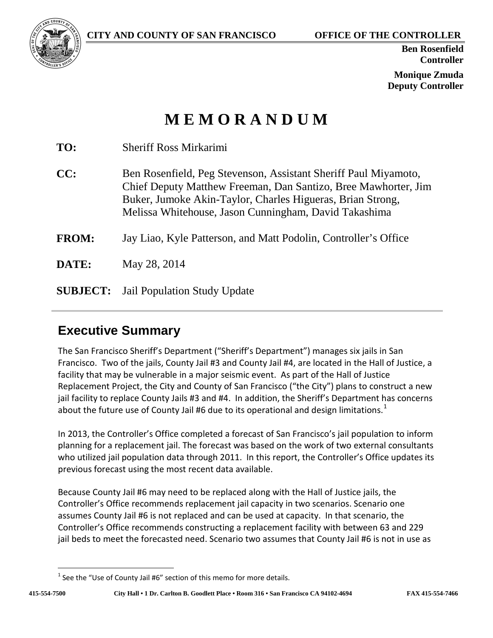

**Ben Rosenfield Controller**

**Monique Zmuda Deputy Controller**

# **M E M O R A N D U M**

| TO:             | <b>Sheriff Ross Mirkarimi</b>                                                                                                                                                                                                                            |
|-----------------|----------------------------------------------------------------------------------------------------------------------------------------------------------------------------------------------------------------------------------------------------------|
| CC:             | Ben Rosenfield, Peg Stevenson, Assistant Sheriff Paul Miyamoto,<br>Chief Deputy Matthew Freeman, Dan Santizo, Bree Mawhorter, Jim<br>Buker, Jumoke Akin-Taylor, Charles Higueras, Brian Strong,<br>Melissa Whitehouse, Jason Cunningham, David Takashima |
| <b>FROM:</b>    | Jay Liao, Kyle Patterson, and Matt Podolin, Controller's Office                                                                                                                                                                                          |
| DATE:           | May 28, 2014                                                                                                                                                                                                                                             |
| <b>SUBJECT:</b> | Jail Population Study Update                                                                                                                                                                                                                             |

# **Executive Summary**

The San Francisco Sheriff's Department ("Sheriff's Department") manages six jails in San Francisco. Two of the jails, County Jail #3 and County Jail #4, are located in the Hall of Justice, a facility that may be vulnerable in a major seismic event. As part of the Hall of Justice Replacement Project, the City and County of San Francisco ("the City") plans to construct a new jail facility to replace County Jails #3 and #4. In addition, the Sheriff's Department has concerns about the future use of County Jail #6 due to its operational and design limitations.<sup>[1](#page-0-0)</sup>

In 2013, the Controller's Office completed a forecast of San Francisco's jail population to inform planning for a replacement jail. The forecast was based on the work of two external consultants who utilized jail population data through 2011. In this report, the Controller's Office updates its previous forecast using the most recent data available.

Because County Jail #6 may need to be replaced along with the Hall of Justice jails, the Controller's Office recommends replacement jail capacity in two scenarios. Scenario one assumes County Jail #6 is not replaced and can be used at capacity. In that scenario, the Controller's Office recommends constructing a replacement facility with between 63 and 229 jail beds to meet the forecasted need. Scenario two assumes that County Jail #6 is not in use as

<span id="page-0-0"></span> $1$  See the "Use of County Jail #6" section of this memo for more details.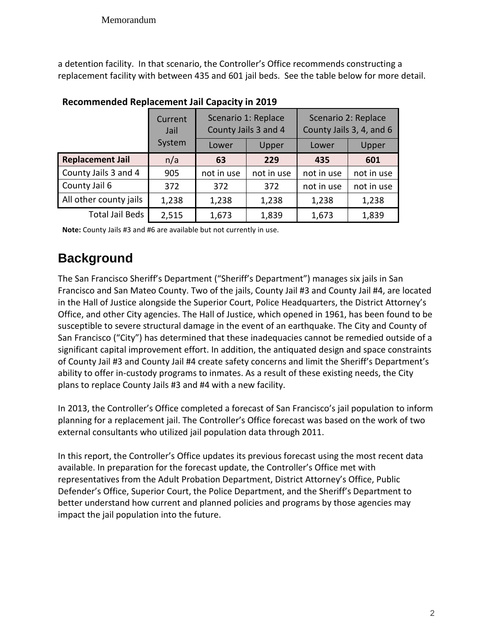a detention facility. In that scenario, the Controller's Office recommends constructing a replacement facility with between 435 and 601 jail beds. See the table below for more detail.

|                         | Current<br>Jail |            | Scenario 1: Replace<br>County Jails 3 and 4 | Scenario 2: Replace<br>County Jails 3, 4, and 6 |            |  |
|-------------------------|-----------------|------------|---------------------------------------------|-------------------------------------------------|------------|--|
|                         | System          | Lower      | Upper                                       | Lower                                           | Upper      |  |
| <b>Replacement Jail</b> | n/a             | 63         | 229                                         | 435                                             | 601        |  |
| County Jails 3 and 4    | 905             | not in use | not in use                                  | not in use                                      | not in use |  |
| County Jail 6           | 372             | 372        | 372                                         | not in use                                      | not in use |  |
| All other county jails  | 1,238           | 1,238      | 1,238                                       | 1,238                                           | 1,238      |  |
| <b>Total Jail Beds</b>  | 2,515           | 1,673      | 1,839                                       | 1,673                                           | 1,839      |  |

#### **Recommended Replacement Jail Capacity in 2019**

**Note:** County Jails #3 and #6 are available but not currently in use.

# **Background**

The San Francisco Sheriff's Department ("Sheriff's Department") manages six jails in San Francisco and San Mateo County. Two of the jails, County Jail #3 and County Jail #4, are located in the Hall of Justice alongside the Superior Court, Police Headquarters, the District Attorney's Office, and other City agencies. The Hall of Justice, which opened in 1961, has been found to be susceptible to severe structural damage in the event of an earthquake. The City and County of San Francisco ("City") has determined that these inadequacies cannot be remedied outside of a significant capital improvement effort. In addition, the antiquated design and space constraints of County Jail #3 and County Jail #4 create safety concerns and limit the Sheriff's Department's ability to offer in-custody programs to inmates. As a result of these existing needs, the City plans to replace County Jails #3 and #4 with a new facility.

In 2013, the Controller's Office completed a forecast of San Francisco's jail population to inform planning for a replacement jail. The Controller's Office forecast was based on the work of two external consultants who utilized jail population data through 2011.

In this report, the Controller's Office updates its previous forecast using the most recent data available. In preparation for the forecast update, the Controller's Office met with representatives from the Adult Probation Department, District Attorney's Office, Public Defender's Office, Superior Court, the Police Department, and the Sheriff's Department to better understand how current and planned policies and programs by those agencies may impact the jail population into the future.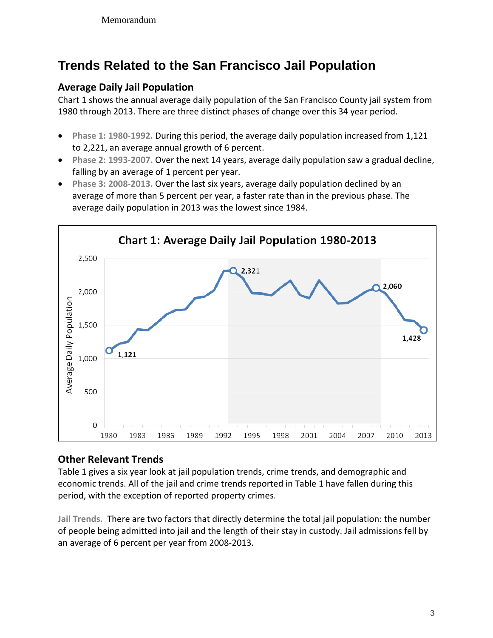# **Trends Related to the San Francisco Jail Population**

## **Average Daily Jail Population**

Chart 1 shows the annual average daily population of the San Francisco County jail system from 1980 through 2013. There are three distinct phases of change over this 34 year period.

- **Phase 1: 1980-1992.** During this period, the average daily population increased from 1,121 to 2,221, an average annual growth of 6 percent.
- **Phase 2: 1993-2007.** Over the next 14 years, average daily population saw a gradual decline, falling by an average of 1 percent per year.
- **Phase 3: 2008-2013.** Over the last six years, average daily population declined by an average of more than 5 percent per year, a faster rate than in the previous phase. The average daily population in 2013 was the lowest since 1984.



## **Other Relevant Trends**

Table 1 gives a six year look at jail population trends, crime trends, and demographic and economic trends. All of the jail and crime trends reported in Table 1 have fallen during this period, with the exception of reported property crimes.

**Jail Trends.** There are two factors that directly determine the total jail population: the number of people being admitted into jail and the length of their stay in custody. Jail admissions fell by an average of 6 percent per year from 2008-2013.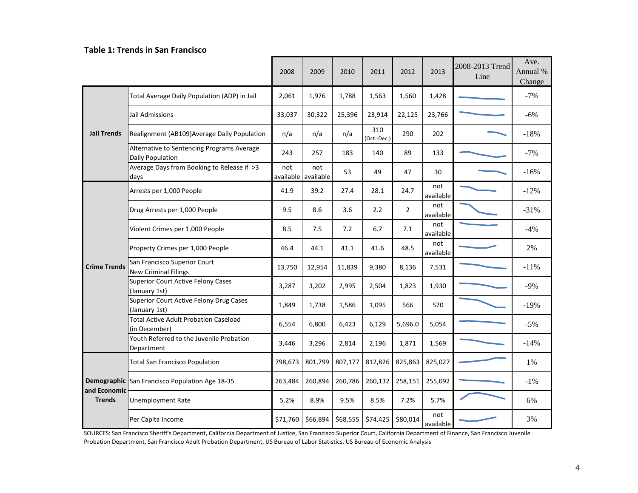#### **Table 1: Trends in San Francisco**

|                                                                                                                                                                                                                                                                                                                                                                                                                                                                                                                                                                                                                                                                                                                                                                                                                                                                                                                                                                                                                                                                                                                                                                                                                                                                                                                                                                                                                                           |                                                | 2008     | 2009     | 2010     | 2011     | 2012     | 2013             | 2008-2013 Trend<br>Line | Ave.<br>Annual %<br>Change |
|-------------------------------------------------------------------------------------------------------------------------------------------------------------------------------------------------------------------------------------------------------------------------------------------------------------------------------------------------------------------------------------------------------------------------------------------------------------------------------------------------------------------------------------------------------------------------------------------------------------------------------------------------------------------------------------------------------------------------------------------------------------------------------------------------------------------------------------------------------------------------------------------------------------------------------------------------------------------------------------------------------------------------------------------------------------------------------------------------------------------------------------------------------------------------------------------------------------------------------------------------------------------------------------------------------------------------------------------------------------------------------------------------------------------------------------------|------------------------------------------------|----------|----------|----------|----------|----------|------------------|-------------------------|----------------------------|
|                                                                                                                                                                                                                                                                                                                                                                                                                                                                                                                                                                                                                                                                                                                                                                                                                                                                                                                                                                                                                                                                                                                                                                                                                                                                                                                                                                                                                                           | Total Average Daily Population (ADP) in Jail   | 2,061    | 1,976    | 1,788    | 1,563    | 1,560    | 1,428            |                         | $-7%$                      |
| 33,037<br>30,322<br>25,396<br>22,125<br>23,766<br>Jail Admissions<br>23,914<br>310<br><b>Jail Trends</b><br>290<br>202<br>Realignment (AB109) Average Daily Population<br>n/a<br>n/a<br>n/a<br>(Oct.-Dec.)<br>Alternative to Sentencing Programs Average<br>243<br>257<br>183<br>140<br>89<br>133<br>Daily Population<br>Average Days from Booking to Release if >3<br>not<br>not<br>53<br>49<br>47<br>30<br>available available<br>days<br>not<br>41.9<br>39.2<br>28.1<br>24.7<br>Arrests per 1,000 People<br>27.4<br>available<br>not<br>9.5<br>8.6<br>3.6<br>$\overline{2}$<br>Drug Arrests per 1,000 People<br>2.2<br>available<br>not<br>Violent Crimes per 1,000 People<br>8.5<br>7.5<br>7.2<br>6.7<br>7.1<br>available<br>not<br>48.5<br>46.4<br>44.1<br>41.1<br>41.6<br>Property Crimes per 1,000 People<br>available<br>San Francisco Superior Court<br><b>Crime Trends</b><br>7,531<br>13,750<br>12,954<br>11,839<br>9,380<br>8,136<br><b>New Criminal Filings</b><br><b>Superior Court Active Felony Cases</b><br>3,287<br>3,202<br>2,995<br>2,504<br>1,823<br>1,930<br>(January 1st)<br>Superior Court Active Felony Drug Cases<br>1,849<br>1,738<br>1,586<br>1,095<br>566<br>570<br>(January 1st)<br><b>Total Active Adult Probation Caseload</b><br>6,554<br>6,800<br>6,129<br>5,696.0<br>6,423<br>5,054<br>(in December)<br>Youth Referred to the Juvenile Probation<br>3,296<br>3,446<br>2,814<br>2,196<br>1,871<br>1,569 |                                                | $-6%$    |          |          |          |          |                  |                         |                            |
|                                                                                                                                                                                                                                                                                                                                                                                                                                                                                                                                                                                                                                                                                                                                                                                                                                                                                                                                                                                                                                                                                                                                                                                                                                                                                                                                                                                                                                           |                                                |          |          |          |          |          |                  |                         | $-18%$                     |
|                                                                                                                                                                                                                                                                                                                                                                                                                                                                                                                                                                                                                                                                                                                                                                                                                                                                                                                                                                                                                                                                                                                                                                                                                                                                                                                                                                                                                                           |                                                |          |          |          |          |          |                  |                         | $-7%$                      |
|                                                                                                                                                                                                                                                                                                                                                                                                                                                                                                                                                                                                                                                                                                                                                                                                                                                                                                                                                                                                                                                                                                                                                                                                                                                                                                                                                                                                                                           |                                                |          |          |          |          |          |                  |                         | $-16%$                     |
|                                                                                                                                                                                                                                                                                                                                                                                                                                                                                                                                                                                                                                                                                                                                                                                                                                                                                                                                                                                                                                                                                                                                                                                                                                                                                                                                                                                                                                           |                                                |          |          |          |          |          |                  |                         | $-12%$                     |
|                                                                                                                                                                                                                                                                                                                                                                                                                                                                                                                                                                                                                                                                                                                                                                                                                                                                                                                                                                                                                                                                                                                                                                                                                                                                                                                                                                                                                                           |                                                |          |          |          |          |          |                  |                         | $-31%$                     |
|                                                                                                                                                                                                                                                                                                                                                                                                                                                                                                                                                                                                                                                                                                                                                                                                                                                                                                                                                                                                                                                                                                                                                                                                                                                                                                                                                                                                                                           |                                                |          |          |          |          |          |                  |                         | $-4%$                      |
|                                                                                                                                                                                                                                                                                                                                                                                                                                                                                                                                                                                                                                                                                                                                                                                                                                                                                                                                                                                                                                                                                                                                                                                                                                                                                                                                                                                                                                           |                                                |          |          |          |          |          |                  |                         | 2%                         |
|                                                                                                                                                                                                                                                                                                                                                                                                                                                                                                                                                                                                                                                                                                                                                                                                                                                                                                                                                                                                                                                                                                                                                                                                                                                                                                                                                                                                                                           |                                                |          |          |          |          |          |                  |                         | $-11%$                     |
|                                                                                                                                                                                                                                                                                                                                                                                                                                                                                                                                                                                                                                                                                                                                                                                                                                                                                                                                                                                                                                                                                                                                                                                                                                                                                                                                                                                                                                           |                                                |          |          |          |          |          |                  |                         | $-9\%$                     |
|                                                                                                                                                                                                                                                                                                                                                                                                                                                                                                                                                                                                                                                                                                                                                                                                                                                                                                                                                                                                                                                                                                                                                                                                                                                                                                                                                                                                                                           |                                                |          |          |          |          |          |                  |                         | $-19%$                     |
|                                                                                                                                                                                                                                                                                                                                                                                                                                                                                                                                                                                                                                                                                                                                                                                                                                                                                                                                                                                                                                                                                                                                                                                                                                                                                                                                                                                                                                           |                                                |          |          |          |          |          |                  |                         | $-5%$                      |
|                                                                                                                                                                                                                                                                                                                                                                                                                                                                                                                                                                                                                                                                                                                                                                                                                                                                                                                                                                                                                                                                                                                                                                                                                                                                                                                                                                                                                                           | Department                                     |          |          |          |          |          |                  |                         | $-14%$                     |
|                                                                                                                                                                                                                                                                                                                                                                                                                                                                                                                                                                                                                                                                                                                                                                                                                                                                                                                                                                                                                                                                                                                                                                                                                                                                                                                                                                                                                                           | <b>Total San Francisco Population</b>          | 798,673  | 801,799  | 807,177  | 812,826  | 825,863  | 825,027          |                         | 1%                         |
| and Economic                                                                                                                                                                                                                                                                                                                                                                                                                                                                                                                                                                                                                                                                                                                                                                                                                                                                                                                                                                                                                                                                                                                                                                                                                                                                                                                                                                                                                              | Demographic San Francisco Population Age 18-35 | 263,484  | 260,894  | 260,786  | 260,132  | 258,151  | 255,092          |                         | $-1\%$                     |
| <b>Trends</b>                                                                                                                                                                                                                                                                                                                                                                                                                                                                                                                                                                                                                                                                                                                                                                                                                                                                                                                                                                                                                                                                                                                                                                                                                                                                                                                                                                                                                             | Unemployment Rate                              | 5.2%     | 8.9%     | 9.5%     | 8.5%     | 7.2%     | 5.7%             |                         | 6%                         |
|                                                                                                                                                                                                                                                                                                                                                                                                                                                                                                                                                                                                                                                                                                                                                                                                                                                                                                                                                                                                                                                                                                                                                                                                                                                                                                                                                                                                                                           | Per Capita Income                              | \$71,760 | \$66,894 | \$68,555 | \$74,425 | \$80,014 | not<br>available |                         | 3%                         |

SOURCES: San Francisco Sheriff's Department, California Department of Justice, San Francisco Superior Court, California Department of Finance, San Francisco Juvenile Probation Department, San Francisco Adult Probation Department, US Bureau of Labor Statistics, US Bureau of Economic Analysis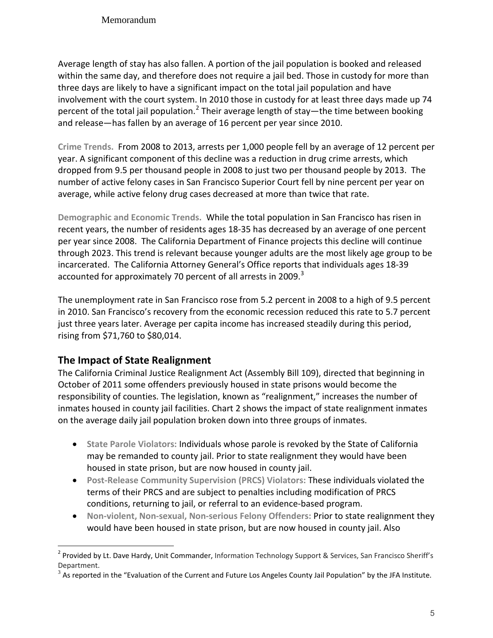#### Memorandum

Average length of stay has also fallen. A portion of the jail population is booked and released within the same day, and therefore does not require a jail bed. Those in custody for more than three days are likely to have a significant impact on the total jail population and have involvement with the court system. In 2010 those in custody for at least three days made up 74 percent of the total jail population.<sup>[2](#page-4-0)</sup> Their average length of stay—the time between booking and release—has fallen by an average of 16 percent per year since 2010.

**Crime Trends.** From 2008 to 2013, arrests per 1,000 people fell by an average of 12 percent per year. A significant component of this decline was a reduction in drug crime arrests, which dropped from 9.5 per thousand people in 2008 to just two per thousand people by 2013. The number of active felony cases in San Francisco Superior Court fell by nine percent per year on average, while active felony drug cases decreased at more than twice that rate.

**Demographic and Economic Trends.** While the total population in San Francisco has risen in recent years, the number of residents ages 18-35 has decreased by an average of one percent per year since 2008. The California Department of Finance projects this decline will continue through 2023. This trend is relevant because younger adults are the most likely age group to be incarcerated. The California Attorney General's Office reports that individuals ages 18-39 accounted for approximately 70 percent of all arrests in 2009. $3$ 

The unemployment rate in San Francisco rose from 5.2 percent in 2008 to a high of 9.5 percent in 2010. San Francisco's recovery from the economic recession reduced this rate to 5.7 percent just three years later. Average per capita income has increased steadily during this period, rising from \$71,760 to \$80,014.

### **The Impact of State Realignment**

The California Criminal Justice Realignment Act (Assembly Bill 109), directed that beginning in October of 2011 some offenders previously housed in state prisons would become the responsibility of counties. The legislation, known as "realignment," increases the number of inmates housed in county jail facilities. Chart 2 shows the impact of state realignment inmates on the average daily jail population broken down into three groups of inmates.

- **State Parole Violators:** Individuals whose parole is revoked by the State of California may be remanded to county jail. Prior to state realignment they would have been housed in state prison, but are now housed in county jail.
- **Post-Release Community Supervision (PRCS) Violators:** These individuals violated the terms of their PRCS and are subject to penalties including modification of PRCS conditions, returning to jail, or referral to an evidence-based program.
- **Non-violent, Non-sexual, Non-serious Felony Offenders:** Prior to state realignment they would have been housed in state prison, but are now housed in county jail. Also

<span id="page-4-0"></span><sup>&</sup>lt;sup>2</sup> Provided by Lt. Dave Hardy, Unit Commander, Information Technology Support & Services, San Francisco Sheriff's Department.

<span id="page-4-1"></span> $3$  As reported in the "Evaluation of the Current and Future Los Angeles County Jail Population" by the JFA Institute.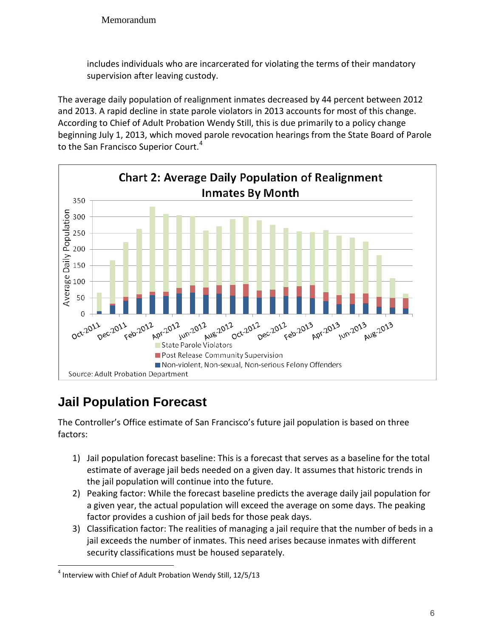includes individuals who are incarcerated for violating the terms of their mandatory supervision after leaving custody.

The average daily population of realignment inmates decreased by 44 percent between 2012 and 2013. A rapid decline in state parole violators in 2013 accounts for most of this change. According to Chief of Adult Probation Wendy Still, this is due primarily to a policy change beginning July 1, 2013, which moved parole revocation hearings from the State Board of Parole to the San Francisco Superior Court.<sup>[4](#page-5-0)</sup>



# **Jail Population Forecast**

The Controller's Office estimate of San Francisco's future jail population is based on three factors:

- 1) Jail population forecast baseline: This is a forecast that serves as a baseline for the total estimate of average jail beds needed on a given day. It assumes that historic trends in the jail population will continue into the future.
- 2) Peaking factor: While the forecast baseline predicts the average daily jail population for a given year, the actual population will exceed the average on some days. The peaking factor provides a cushion of jail beds for those peak days.
- 3) Classification factor: The realities of managing a jail require that the number of beds in a jail exceeds the number of inmates. This need arises because inmates with different security classifications must be housed separately.

<span id="page-5-0"></span><sup>&</sup>lt;sup>4</sup> Interview with Chief of Adult Probation Wendy Still, 12/5/13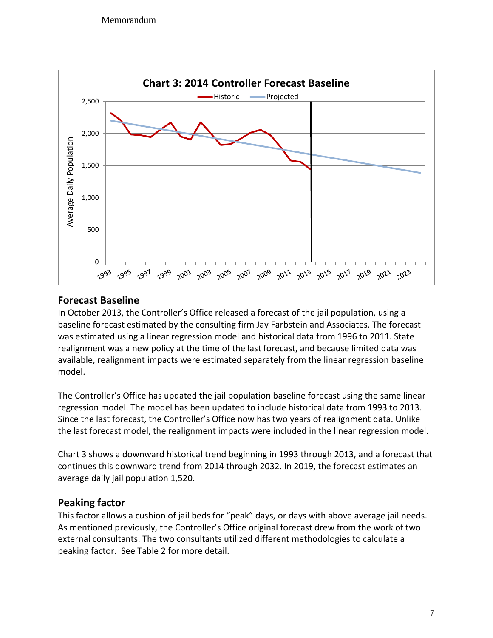

## **Forecast Baseline**

In October 2013, the Controller's Office released a forecast of the jail population, using a baseline forecast estimated by the consulting firm Jay Farbstein and Associates. The forecast was estimated using a linear regression model and historical data from 1996 to 2011. State realignment was a new policy at the time of the last forecast, and because limited data was available, realignment impacts were estimated separately from the linear regression baseline model.

The Controller's Office has updated the jail population baseline forecast using the same linear regression model. The model has been updated to include historical data from 1993 to 2013. Since the last forecast, the Controller's Office now has two years of realignment data. Unlike the last forecast model, the realignment impacts were included in the linear regression model.

Chart 3 shows a downward historical trend beginning in 1993 through 2013, and a forecast that continues this downward trend from 2014 through 2032. In 2019, the forecast estimates an average daily jail population 1,520.

### **Peaking factor**

This factor allows a cushion of jail beds for "peak" days, or days with above average jail needs. As mentioned previously, the Controller's Office original forecast drew from the work of two external consultants. The two consultants utilized different methodologies to calculate a peaking factor. See Table 2 for more detail.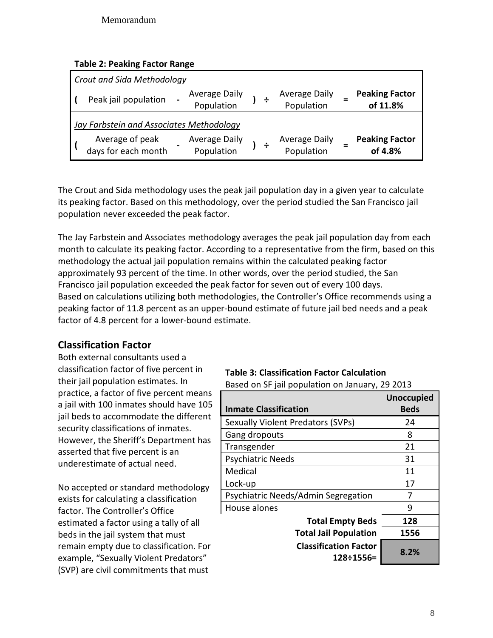|  |  | <b>Table 2: Peaking Factor Range</b> |  |  |
|--|--|--------------------------------------|--|--|
|--|--|--------------------------------------|--|--|

| <b>Crout and Sida Methodology</b>               |                             |  |                                    |  |                                   |  |  |  |  |
|-------------------------------------------------|-----------------------------|--|------------------------------------|--|-----------------------------------|--|--|--|--|
| Peak jail population                            | Average Daily<br>Population |  | <b>Average Daily</b><br>Population |  | <b>Peaking Factor</b><br>of 11.8% |  |  |  |  |
| <b>Jay Farbstein and Associates Methodology</b> |                             |  |                                    |  |                                   |  |  |  |  |
| Average of peak<br>days for each month          | Average Daily<br>Population |  | <b>Average Daily</b><br>Population |  | <b>Peaking Factor</b><br>of 4.8%  |  |  |  |  |

The Crout and Sida methodology uses the peak jail population day in a given year to calculate its peaking factor. Based on this methodology, over the period studied the San Francisco jail population never exceeded the peak factor.

The Jay Farbstein and Associates methodology averages the peak jail population day from each month to calculate its peaking factor. According to a representative from the firm, based on this methodology the actual jail population remains within the calculated peaking factor approximately 93 percent of the time. In other words, over the period studied, the San Francisco jail population exceeded the peak factor for seven out of every 100 days. Based on calculations utilizing both methodologies, the Controller's Office recommends using a peaking factor of 11.8 percent as an upper-bound estimate of future jail bed needs and a peak factor of 4.8 percent for a lower-bound estimate.

## **Classification Factor**

Both external consultants used a classification factor of five percent in their jail population estimates. In practice, a factor of five percent means a jail with 100 inmates should have 105 jail beds to accommodate the different security classifications of inmates. However, the Sheriff's Department has asserted that five percent is an underestimate of actual need.

No accepted or standard methodology exists for calculating a classification factor. The Controller's Office estimated a factor using a tally of all beds in the jail system that must remain empty due to classification. For example, "Sexually Violent Predators" (SVP) are civil commitments that must

# **Table 3: Classification Factor Calculation**

| Based on SF jail population on January, 29 2013 |  |
|-------------------------------------------------|--|
|-------------------------------------------------|--|

| <b>Inmate Classification</b>              | <b>Unoccupied</b><br><b>Beds</b> |
|-------------------------------------------|----------------------------------|
| <b>Sexually Violent Predators (SVPs)</b>  | 24                               |
| Gang dropouts                             | 8                                |
| Transgender                               | 21                               |
| <b>Psychiatric Needs</b>                  | 31                               |
| Medical                                   | 11                               |
| Lock-up                                   | 17                               |
| Psychiatric Needs/Admin Segregation       | 7                                |
| House alones                              | ٩                                |
| <b>Total Empty Beds</b>                   | 128                              |
| <b>Total Jail Population</b>              | 1556                             |
| <b>Classification Factor</b><br>128÷1556= | 8.2%                             |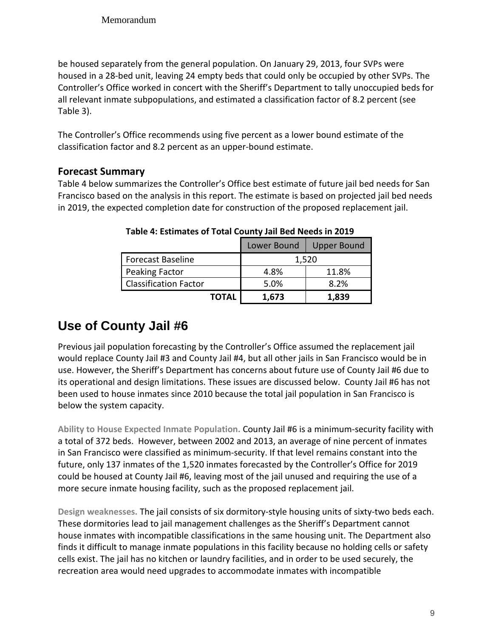be housed separately from the general population. On January 29, 2013, four SVPs were housed in a 28-bed unit, leaving 24 empty beds that could only be occupied by other SVPs. The Controller's Office worked in concert with the Sheriff's Department to tally unoccupied beds for all relevant inmate subpopulations, and estimated a classification factor of 8.2 percent (see Table 3).

The Controller's Office recommends using five percent as a lower bound estimate of the classification factor and 8.2 percent as an upper-bound estimate.

## **Forecast Summary**

Table 4 below summarizes the Controller's Office best estimate of future jail bed needs for San Francisco based on the analysis in this report. The estimate is based on projected jail bed needs in 2019, the expected completion date for construction of the proposed replacement jail.

|                              | Lower Bound | <b>Upper Bound</b> |
|------------------------------|-------------|--------------------|
| <b>Forecast Baseline</b>     |             | 1,520              |
| Peaking Factor               | 4.8%        | 11.8%              |
| <b>Classification Factor</b> | 5.0%        | 8.2%               |
| <b>TOTAL</b>                 | 1,673       | 1,839              |

**Table 4: Estimates of Total County Jail Bed Needs in 2019**

# **Use of County Jail #6**

Previous jail population forecasting by the Controller's Office assumed the replacement jail would replace County Jail #3 and County Jail #4, but all other jails in San Francisco would be in use. However, the Sheriff's Department has concerns about future use of County Jail #6 due to its operational and design limitations. These issues are discussed below. County Jail #6 has not been used to house inmates since 2010 because the total jail population in San Francisco is below the system capacity.

**Ability to House Expected Inmate Population.** County Jail #6 is a minimum-security facility with a total of 372 beds. However, between 2002 and 2013, an average of nine percent of inmates in San Francisco were classified as minimum-security. If that level remains constant into the future, only 137 inmates of the 1,520 inmates forecasted by the Controller's Office for 2019 could be housed at County Jail #6, leaving most of the jail unused and requiring the use of a more secure inmate housing facility, such as the proposed replacement jail.

**Design weaknesses.** The jail consists of six dormitory-style housing units of sixty-two beds each. These dormitories lead to jail management challenges as the Sheriff's Department cannot house inmates with incompatible classifications in the same housing unit. The Department also finds it difficult to manage inmate populations in this facility because no holding cells or safety cells exist. The jail has no kitchen or laundry facilities, and in order to be used securely, the recreation area would need upgrades to accommodate inmates with incompatible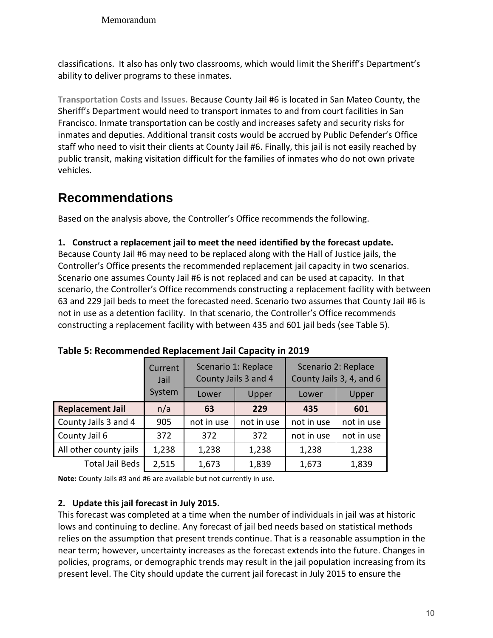Memorandum

classifications. It also has only two classrooms, which would limit the Sheriff's Department's ability to deliver programs to these inmates.

**Transportation Costs and Issues.** Because County Jail #6 is located in San Mateo County, the Sheriff's Department would need to transport inmates to and from court facilities in San Francisco. Inmate transportation can be costly and increases safety and security risks for inmates and deputies. Additional transit costs would be accrued by Public Defender's Office staff who need to visit their clients at County Jail #6. Finally, this jail is not easily reached by public transit, making visitation difficult for the families of inmates who do not own private vehicles.

# **Recommendations**

Based on the analysis above, the Controller's Office recommends the following.

#### **1. Construct a replacement jail to meet the need identified by the forecast update.**

Because County Jail #6 may need to be replaced along with the Hall of Justice jails, the Controller's Office presents the recommended replacement jail capacity in two scenarios. Scenario one assumes County Jail #6 is not replaced and can be used at capacity. In that scenario, the Controller's Office recommends constructing a replacement facility with between 63 and 229 jail beds to meet the forecasted need. Scenario two assumes that County Jail #6 is not in use as a detention facility. In that scenario, the Controller's Office recommends constructing a replacement facility with between 435 and 601 jail beds (see Table 5).

|                         | Current<br>Jail | Scenario 1: Replace<br>County Jails 3 and 4 |            | Scenario 2: Replace<br>County Jails 3, 4, and 6 |            |  |
|-------------------------|-----------------|---------------------------------------------|------------|-------------------------------------------------|------------|--|
|                         | System          | Lower                                       | Upper      | Lower                                           | Upper      |  |
| <b>Replacement Jail</b> | n/a             | 63                                          | 229        | 435                                             | 601        |  |
| County Jails 3 and 4    | 905             | not in use                                  | not in use | not in use                                      | not in use |  |
| County Jail 6           | 372             | 372                                         | 372        | not in use                                      | not in use |  |
| All other county jails  | 1,238           | 1,238                                       | 1,238      | 1,238                                           | 1,238      |  |
| <b>Total Jail Beds</b>  | 2,515           | 1,673                                       | 1,839      | 1,673                                           | 1,839      |  |

**Note:** County Jails #3 and #6 are available but not currently in use.

#### **2. Update this jail forecast in July 2015.**

This forecast was completed at a time when the number of individuals in jail was at historic lows and continuing to decline. Any forecast of jail bed needs based on statistical methods relies on the assumption that present trends continue. That is a reasonable assumption in the near term; however, uncertainty increases as the forecast extends into the future. Changes in policies, programs, or demographic trends may result in the jail population increasing from its present level. The City should update the current jail forecast in July 2015 to ensure the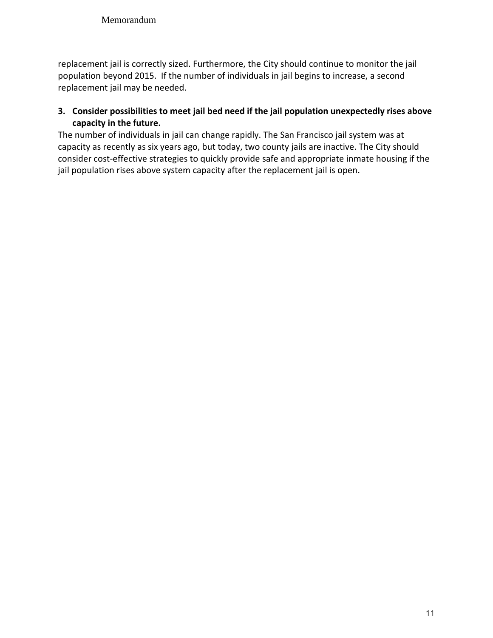replacement jail is correctly sized. Furthermore, the City should continue to monitor the jail population beyond 2015. If the number of individuals in jail begins to increase, a second replacement jail may be needed.

#### **3. Consider possibilities to meet jail bed need if the jail population unexpectedly rises above capacity in the future.**

The number of individuals in jail can change rapidly. The San Francisco jail system was at capacity as recently as six years ago, but today, two county jails are inactive. The City should consider cost-effective strategies to quickly provide safe and appropriate inmate housing if the jail population rises above system capacity after the replacement jail is open.